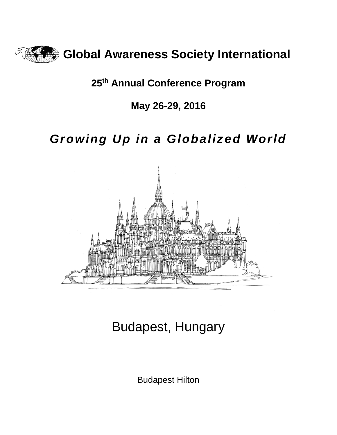

# **25th Annual Conference Program**

# **May 26-29, 2016**

# *Growing Up in a Globalized World*



# Budapest, Hungary

Budapest Hilton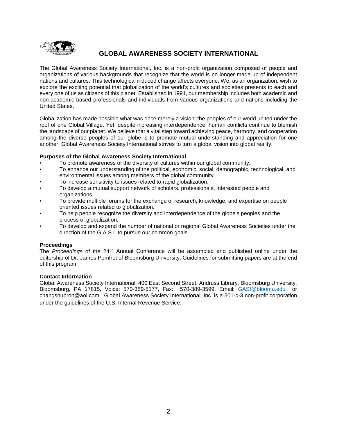

# **GLOBAL AWARENESS SOCIETY INTERNATIONAL**

The Global Awareness Society International, Inc. is a non-profit organization composed of people and organizations of various backgrounds that recognize that the world is no longer made up of independent nations and cultures. This technological induced change affects everyone. We, as an organization, wish to explore the exciting potential that globalization of the world's cultures and societies presents to each and every one of us as citizens of this planet. Established in 1991, our membership includes both academic and non-academic based professionals and individuals from various organizations and nations including the United States.

Globalization has made possible what was once merely a vision: the peoples of our world united under the roof of one Global Village. Yet, despite increasing interdependence, human conflicts continue to blemish the landscape of our planet. We believe that a vital step toward achieving peace, harmony, and cooperation among the diverse peoples of our globe is to promote mutual understanding and appreciation for one another. Global Awareness Society International strives to turn a global vision into global reality.

# **Purposes of the Global Awareness Society International**

- To promote awareness of the diversity of cultures within our global community.
- To enhance our understanding of the political, economic, social, demographic, technological, and environmental issues among members of the global community.
- To increase sensitivity to issues related to rapid globalization.
- To develop a mutual support network of scholars, professionals, interested people and organizations.
- To provide multiple forums for the exchange of research, knowledge, and expertise on people oriented issues related to globalization.
- To help people recognize the diversity and interdependence of the globe's peoples and the process of globalization.
- To develop and expand the number of national or regional Global Awareness Societies under the direction of the G.A.S.I. to pursue our common goals.

# **Proceedings**

The *Proceedings* of the 245h Annual Conference will be assembled and published online under the editorship of Dr. James Pomfret of Bloomsburg University. Guidelines for submitting papers are at the end of this program.

#### **Contact Information**

Global Awareness Society International, 400 East Second Street, Andruss Library, Bloomsburg University, Bloomsburg, PA 17815, Voice: 570-389-5177, Fax: 570-389-3599, Email: [GASI@bloomu.edu](mailto:GASI@bloomu.edu) or changshubroh@aol.com. Global Awareness Society International, Inc. is a 501-c-3 non-profit corporation under the guidelines of the U.S. Internal Revenue Service.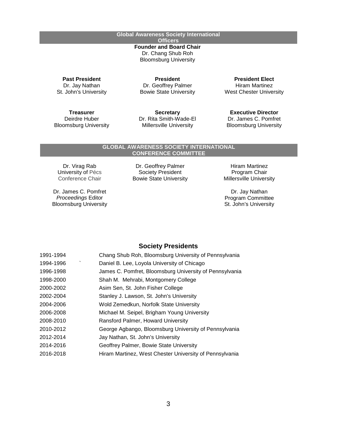**Global Awareness Society International Officers Founder and Board Chair** Dr. Chang Shub Roh Bloomsburg University

**Past President** Dr. Jay Nathan St. John's University

**President** Dr. Geoffrey Palmer Bowie State University

**Treasurer** Deirdre Huber Bloomsburg University

**Secretary** Dr. Rita Smith-Wade-El Millersville University

**President Elect** Hiram Martinez West Chester University

**Executive Director** Dr. James C. Pomfret Bloomsburg University

# **GLOBAL AWARENESS SOCIETY INTERNATIONAL**

**CONFERENCE COMMITTEE**

Dr. Virag Rab University of Pécs Conference Chair

Dr. James C. Pomfret *Proceedings* Editor Bloomsburg University

Dr. Geoffrey Palmer Society President Bowie State University

Hiram Martinez Program Chair Millersville University

Dr. Jay Nathan Program Committee St. John's University

# **Society Presidents**

| 1991-1994 | Chang Shub Roh, Bloomsburg University of Pennsylvania   |
|-----------|---------------------------------------------------------|
| 1994-1996 | Daniel B. Lee, Loyola University of Chicago             |
| 1996-1998 | James C. Pomfret, Bloomsburg University of Pennsylvania |
| 1998-2000 | Shah M. Mehrabi, Montgomery College                     |
| 2000-2002 | Asim Sen, St. John Fisher College                       |
| 2002-2004 | Stanley J. Lawson, St. John's University                |
| 2004-2006 | Wold Zemedkun, Norfolk State University                 |
| 2006-2008 | Michael M. Seipel, Brigham Young University             |
| 2008-2010 | Ransford Palmer, Howard University                      |
| 2010-2012 | George Agbango, Bloomsburg University of Pennsylvania   |
| 2012-2014 | Jay Nathan, St. John's University                       |
| 2014-2016 | Geoffrey Palmer, Bowie State University                 |
| 2016-2018 | Hiram Martinez, West Chester University of Pennsylvania |
|           |                                                         |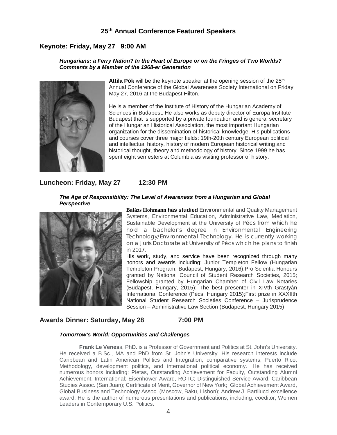# **25th Annual Conference Featured Speakers**

# **Keynote: Friday, May 27 9:00 AM**

#### *Hungarians: a Ferry Nation? In the Heart of Europe or on the Fringes of Two Worlds? Comments by a Member of the 1968-er Generation*



Attila Pók will be the keynote speaker at the opening session of the 25<sup>th</sup> Annual Conference of the Global Awareness Society International on Friday, May 27, 2016 at the Budapest Hilton.

He is a member of the Institute of History of the Hungarian Academy of Sciences in Budapest. He also works as deputy director of Europa Institute Budapest that is supported by a private foundation and is general secretary of the Hungarian Historical Association, the most important Hungarian organization for the dissemination of historical knowledge. His publications and courses cover three major fields: 19th-20th century European political and intellectual history, history of modern European historical writing and historical thought, theory and methodology of history. Since 1999 he has spent eight semesters at Columbia as visiting professor of history.

# **Luncheon: Friday, May 27 12:30 PM**

#### *The Age of Responsibility: The Level of Awareness from a Hungarian and Global Perspective*



**Balázs Hohmann has studied** Environmental and Quality Management Systems, Environmental Education, Administrative Law, Mediation, Sustainable Development at the University of Pécs from which he hold a bachelor's degree in Environmental Engineering Technology/Environmental Technology. He is currently working on a Juris Doctorate at University of Pécs which he plans to finish in 2017.

His work, study, and service have been recognized through many honors and awards including: Junior Templeton Fellow (Hungarian Templeton Program, Budapest, Hungary, 2016):Pro Scientia Honours granted by National Council of Student Research Societies, 2015; Fellowship granted by Hungarian Chamber of Civil Law Notaries (Budapest, Hungary, 2015); The best presenter in XIVth Grastyán International Conference (Pécs, Hungary 2015);First prize in XXXIIth National Student Research Societies Conference – Jurisprudence Session – Administrative Law Section (Budapest, Hungary 2015)

# **Awards Dinner: Saturday, May 28 7:00 PM**

#### *Tomorrow's World: Opportunities and Challenges*

**Frank Le Venes**s, PhD. is a Professor of Government and Politics at St. John's University. He received a B.Sc., MA and PhD from St. John's University. His research interests include Caribbean and Latin American Politics and Integration, comparative systems; Puerto Rico; Methodology, development politics, and international political economy. He has received numerous honors including: Pietas, Outstanding Achievement for Faculty, Outstanding Alumni Achievement, International; Eisenhower Award, ROTC; Distinguished Service Award, Caribbean Studies Assoc. (San Juan); Certificate of Merit, Governor of New York; Global Achievement Award, Global Business and Technology Assoc. (Moscow, Baku, Lisbon); Andrew J. Bartilucci excellence award. He is the author of numerous presentations and publications, including, coeditor, Women Leaders in Contemporary U.S. Politics.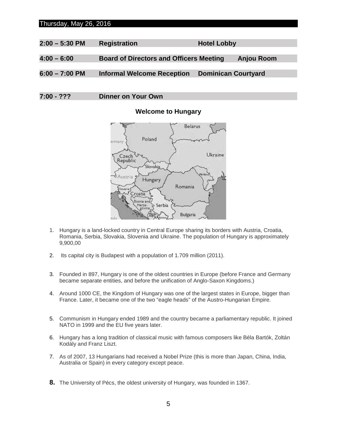# Thursday, May 26, 2016

| $2:00 - 5:30$ PM | <b>Registration</b>                            | <b>Hotel Lobby</b>         |
|------------------|------------------------------------------------|----------------------------|
|                  |                                                |                            |
| $4:00 - 6:00$    | <b>Board of Directors and Officers Meeting</b> | Anjou Room                 |
|                  |                                                |                            |
| $6:00 - 7:00$ PM | <b>Informal Welcome Reception</b>              | <b>Dominican Courtyard</b> |
|                  |                                                |                            |

**7:00 - ??? Dinner on Your Own**

# **Welcome to Hungary**



- 1. Hungary is a land-locked country in Central Europe sharing its borders with Austria, Croatia, Romania, Serbia, Slovakia, Slovenia and Ukraine. The population of Hungary is approximately 9,900,00
- 2. Its capital city is Budapest with a population of 1.709 million (2011).
- 3. Founded in 897, Hungary is one of the oldest countries in Europe (before France and Germany became separate entities, and before the unification of Anglo-Saxon Kingdoms.)
- 4. Around 1000 CE, the Kingdom of Hungary was one of the largest states in Europe, bigger than France. Later, it became one of the two "eagle heads" of the Austro-Hungarian Empire.
- 5. Communism in Hungary ended 1989 and the country became a parliamentary republic. It joined NATO in 1999 and the EU five years later.
- 6. Hungary has a long tradition of classical music with famous composers like Béla Bartók, Zoltán Kodály and Franz Liszt.
- 7. As of 2007, 13 Hungarians had received a Nobel Prize (this is more than Japan, China, India, Australia or Spain) in every category except peace.
- **8.** The University of Pécs, the oldest university of Hungary, was founded in 1367.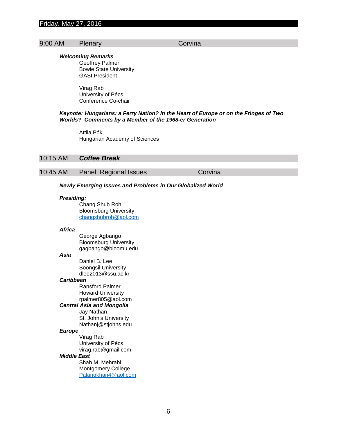# Friday. May 27, 2016

# 9:00 AM Plenary Corvina

#### *Welcoming Remarks*

Geoffrey Palmer Bowie State University GASI President

Virag Rab University of Pécs Conference Co-chair

#### *Keynote: Hungarians: a Ferry Nation? In the Heart of Europe or on the Fringes of Two Worlds? Comments by a Member of the 1968-er Generation*

Attila Pók Hungarian Academy of Sciences

#### 10:15 AM *Coffee Break*

# 10:45 AM Panel: Regional Issues Corvina

#### *Newly Emerging Issues and Problems in Our Globalized World*

#### *Presiding:*

Chang Shub Roh Bloomsburg University [changshubroh@aol.com](mailto:changshubroh@aol.com)

#### *Africa*

George Agbango Bloomsburg University gagbango@bloomu.edu

#### *Asia*

Daniel B. Lee Soongsil University dlee2013@ssu.ac.kr

#### *Caribbean*

Ransford Palmer Howard University rpalmer805@aol.com

#### *Central Asia and Mongolia*

Jay Nathan St. John's University Nathanj@stjohns.edu

#### *Europe*

Virag Rab University of Pécs virag.rab@gmail.com

#### *Middle East*

Shah M. Mehrabi Montgomery College [Palangkhan4@aol.com](mailto:Palangkhan4@aol.com)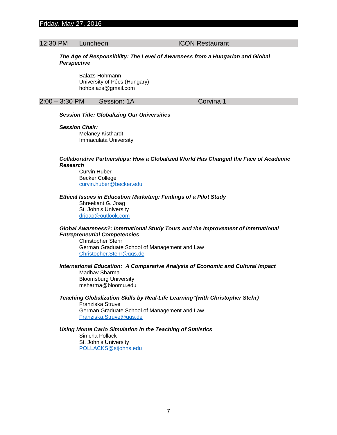# Friday. May 27, 2016

# 12:30 PM Luncheon ICON Restaurant

#### *The Age of Responsibility: The Level of Awareness from a Hungarian and Global Perspective*

Balazs Hohmann University of Pécs (Hungary) hohbalazs@gmail.com

#### 2:00 – 3:30 PM Session: 1A Corvina 1

#### *Session Title: Globalizing Our Universities*

#### *Session Chair:*

Melaney Kisthardt Immaculata University

#### *Collaborative Partnerships: How a Globalized World Has Changed the Face of Academic Research*

Curvin Huber Becker College [curvin.huber@becker.edu](mailto:curvin.huber@becker.edu)

#### *Ethical Issues in Education Marketing: Findings of a Pilot Study*

Shreekant G. Joag St. John's University [drjoag@outlook.com](mailto:drjoag@outlook.com)

#### *Global Awareness?: International Study Tours and the Improvement of International Entrepreneurial Competencies*

Christopher Stehr German Graduate School of Management and Law [Christopher.Stehr@ggs.de](mailto:Christopher.Stehr@ggs.de)

#### *International Education: A Comparative Analysis of Economic and Cultural Impact*

Madhav Sharma Bloomsburg University msharma@bloomu.edu

#### *Teaching Globalization Skills by Real-Life Learning"(with Christopher Stehr)*

Franziska Struve German Graduate School of Management and Law [Franziska.Struve@ggs.de](mailto:Franziska.Struve@ggs.de)

#### *Using Monte Carlo Simulation in the Teaching of Statistics*

Simcha Pollack St. John's University [POLLACKS@stjohns.edu](mailto:POLLACKS@stjohns.edu)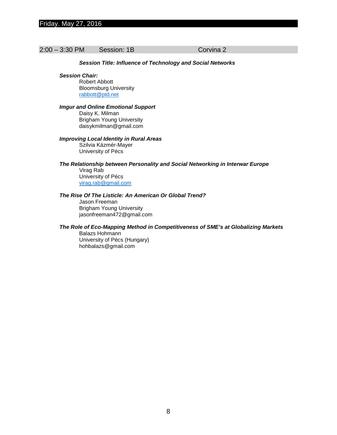#### 2:00 – 3:30 PM Session: 1B Corvina 2

#### *Session Title: Influence of Technology and Social Networks*

*Session Chair:*

Robert Abbott Bloomsburg University [rabbott@ptd.net](mailto:rabbott@ptd.net)

#### *Imgur and Online Emotional Support*

Daisy K. Milman Brigham Young University daisykmilman@gmail.com

#### *Improving Local Identity in Rural Areas*

Szilvia Kázmér-Mayer University of Pécs

#### *The Relationship between Personality and Social Networking in Interwar Europe*

Virag Rab University of Pécs [virag.rab@gmail.com](mailto:virag.rab@gmail.com)

#### *The Rise Of The Listicle: An American Or Global Trend?*

Jason Freeman Brigham Young University jasonfreeman472@gmail.com

#### *The Role of Eco-Mapping Method in Competitiveness of SME's at Globalizing Markets*

Balazs Hohmann University of Pécs (Hungary) hohbalazs@gmail.com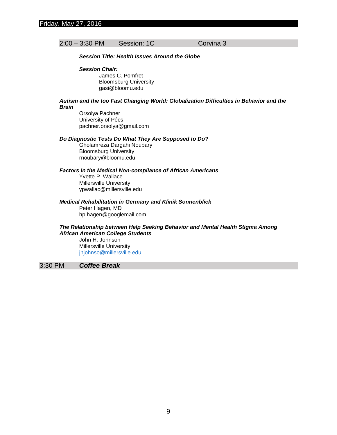# 2:00 – 3:30 PM Session: 1C Corvina 3

#### *Session Title: Health Issues Around the Globe*

#### *Session Chair:*

James C. Pomfret Bloomsburg University gasi@bloomu.edu

#### *Autism and the too Fast Changing World: Globalization Difficulties in Behavior and the Brain*

Orsolya Pachner University of Pécs pachner.orsolya@gmail.com

#### *Do Diagnostic Tests Do What They Are Supposed to Do?*

Gholamreza Dargahi Noubary Bloomsburg University rnoubary@bloomu.edu

# *Factors in the Medical Non-compliance of African Americans*

Yvette P. Wallace Millersville University ypwallac@millersville.edu

#### *Medical Rehabilitation in Germany and Klinik Sonnenblick*

Peter Hagen, MD hp.hagen@googlemail.com

#### *The Relationship between Help Seeking Behavior and Mental Health Stigma Among African American College Students*

John H. Johnson Millersville University [jhjohnso@millersville.edu](mailto:jhjohnso@millersville.edu)

# 3:30 PM *Coffee Break*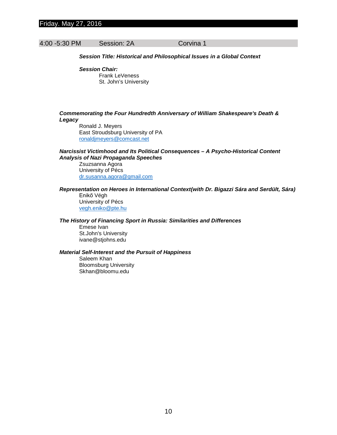# Friday. May 27, 2016

# 4:00 -5:30 PM Session: 2A Corvina 1

#### *Session Title: Historical and Philosophical Issues in a Global Context*

*Session Chair:* Frank LeVeness St. John's University

#### *Commemorating the Four Hundredth Anniversary of William Shakespeare's Death & Legacy*

Ronald J. Meyers East Stroudsburg University of PA [ronaldjmeyers@comcast.net](mailto:ronaldjmeyers@comcast.net)

#### *Narcissist Victimhood and Its Political Consequences – A Psycho-Historical Content Analysis of Nazi Propaganda Speeches*

Zsuzsanna Agora University of Pécs [dr.susanna.agora@gmail.com](mailto:dr.susanna.agora@gmail.com)

#### *Representation on Heroes in International Context(with Dr. Bigazzi Sára and Serdült, Sára)*

Enikő Végh University of Pécs [vegh.eniko@pte.hu](mailto:vegh.eniko@pte.hu)

# *The History of Financing Sport in Russia: Similarities and Differences*

Emese Ivan St.John's University ivane@stjohns.edu

#### *Material Self-Interest and the Pursuit of Happiness*

Saleem Khan Bloomsburg University Skhan@bloomu.edu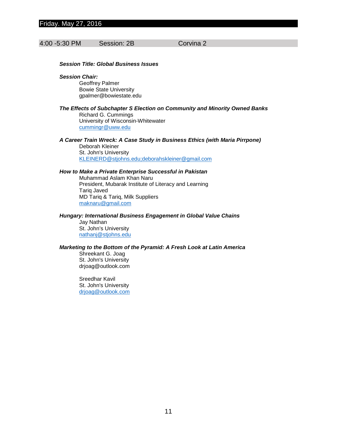# Friday. May 27, 2016

#### 4:00 -5:30 PM Session: 2B Corvina 2

#### *Session Title: Global Business Issues*

#### *Session Chair:*

Geoffrey Palmer Bowie State University gpalmer@bowiestate.edu

#### *The Effects of Subchapter S Election on Community and Minority Owned Banks*

Richard G. Cummings University of Wisconsin-Whitewater [cummingr@uww.edu](mailto:cummingr@uww.edu)

*A Career Train Wreck: A Case Study in Business Ethics (with Maria Pirrpone)* Deborah Kleiner

St. John's University [KLEINERD@stjohns.edu;deborahskleiner@gmail.com](mailto:KLEINERD@stjohns.edu;deborahskleiner@gmail.com)

#### *How to Make a Private Enterprise Successful in Pakistan*

Muhammad Aslam Khan Naru President, Mubarak Institute of Literacy and Learning Tariq Javed MD Tariq & Tariq, Milk Suppliers [maknaru@gmail.com](mailto:maknaru@gmail.com)

#### *Hungary: International Business Engagement in Global Value Chains*

Jay Nathan St. John's University [nathanj@stjohns.edu](mailto:nathanj@stjohns.edu)

#### *Marketing to the Bottom of the Pyramid: A Fresh Look at Latin America*

Shreekant G. Joag St. John's University drjoag@outlook.com

Sreedhar Kavil St. John's University [drjoag@outlook.com](mailto:drjoag@outlook.com)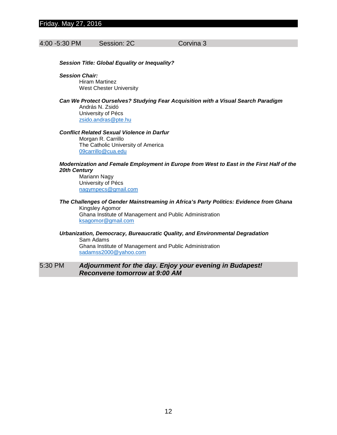# 4:00 -5:30 PM Session: 2C Corvina 3

*Session Title: Global Equality or Inequality?*

*Session Chair:* Hiram Martinez

West Chester University

*Can We Protect Ourselves? Studying Fear Acquisition with a Visual Search Paradigm* András N. Zsidó University of Pécs [zsido.andras@pte.hu](mailto:zsido.andras@pte.hu)

*Conflict Related Sexual Violence in Darfur*

Morgan R. Carrillo The Catholic University of America [09carrillo@cua.edu](mailto:09carrillo@cua.edu)

#### *Modernization and Female Employment in Europe from West to East in the First Half of the 20th Century*

Mariann Nagy University of Pécs [nagympecs@gmail.com](mailto:nagympecs@gmail.com)

#### *The Challenges of Gender Mainstreaming in Africa's Party Politics: Evidence from Ghana* Kingsley Agomor

Ghana Institute of Management and Public Administration [ksagomor@gmail.com](mailto:ksagomor@gmail.com)

*Urbanization, Democracy, Bureaucratic Quality, and Environmental Degradation* Sam Adams Ghana Institute of Management and Public Administration [sadamss2000@yahoo.com](mailto:sadamss2000@yahoo.com)

# 5:30 PM *Adjournment for the day. Enjoy your evening in Budapest! Reconvene tomorrow at 9:00 AM*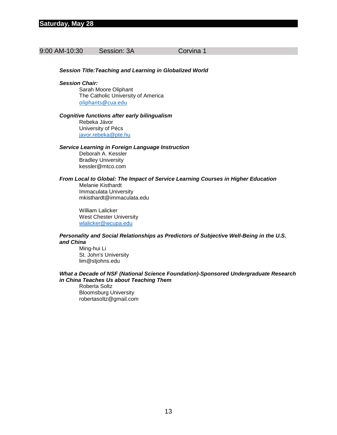# 9:00 AM-10:30 Session: 3A Corvina 1

#### *Session Title:Teaching and Learning in Globalized World*

#### *Session Chair:*

Sarah Moore Oliphant The Catholic University of America [oliphants@cua.edu](mailto:oliphants@cua.edu)

#### *Cognitive functions after early bilingualism*

Rebeka Jávor University of Pécs [javor.rebeka@pte.hu](mailto:javor.rebeka@pte.hu)

#### *Service Learning in Foreign Language Instruction*

Deborah A. Kessler Bradley University kessler@mtco.com

# *From Local to Global: The Impact of Service Learning Courses in Higher Education*

Melanie Kisthardt Immaculata University mkisthardt@immaculata.edu

William Lalicker West Chester University [wlalicker@wcupa.edu](mailto:wlalicker@wcupa.edu)

#### *Personality and Social Relationships as Predictors of Subjective Well-Being in the U.S. and China*

Ming-hui Li St. John's University lim@stjohns.edu

#### *What a Decade of NSF (National Science Foundation)-Sponsored Undergraduate Research in China Teaches Us about Teaching Them*

Roberta Soltz Bloomsburg University robertasoltz@gmail.com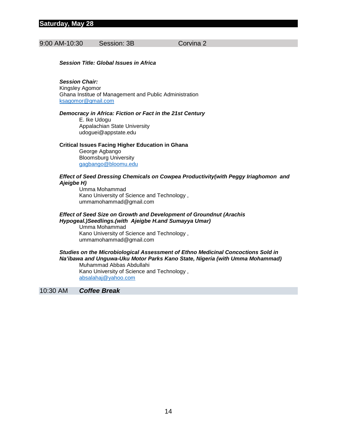# 9:00 AM-10:30 Session: 3B Corvina 2

#### *Session Title: Global Issues in Africa*

# *Session Chair:*

Kingsley Agomor Ghana Institue of Management and Public Administration [ksagomor@gmail.com](mailto:ksagomor@gmail.com)

#### *Democracy in Africa: Fiction or Fact in the 21st Century*

E. Ike Udogu Appalachian State University udoguei@appstate.edu

#### **Critical Issues Facing Higher Education in Ghana**

George Agbango Bloomsburg University [gagbango@bloomu.edu](mailto:gagbango@bloomu.edu)

#### *Effect of Seed Dressing Chemicals on Cowpea Productivity(with Peggy Iriaghomon and Ajeigbe H)*

Umma Mohammad Kano University of Science and Technology , ummamohammad@gmail.com

#### *Effect of Seed Size on Growth and Development of Groundnut (Arachis Hypogeal.)Seedlings.(with Ajeigbe H.and Sumayya Umar)*

Umma Mohammad Kano University of Science and Technology , ummamohammad@gmail.com

# *Studies on the Microbiological Assessment of Ethno Medicinal Concoctions Sold in Na'ibawa and Unguwa-Uku Motor Parks Kano State, Nigeria (with Umma Mohammad)* Muhammad Abbas Abdullahi

Kano University of Science and Technology , [absalahaj@yahoo.com](mailto:absalahaj@yahoo.com)

10:30 AM *Coffee Break*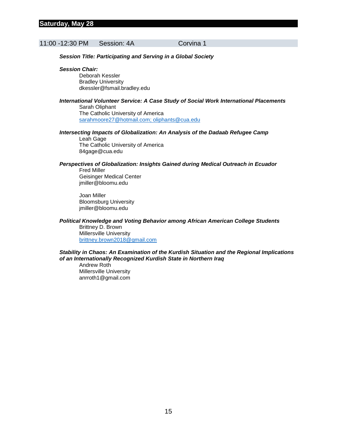# 11:00 -12:30 PM Session: 4A Corvina 1

*Session Title: Participating and Serving in a Global Society*

#### *Session Chair:*

Deborah Kessler Bradley University dkessler@fsmail.bradley.edu

#### *International Volunteer Service: A Case Study of Social Work International Placements* Sarah Oliphant The Catholic University of America

[sarahmoore27@hotmail.com; oliphants@cua.edu](mailto:sarahmoore27@hotmail.com;%20oliphants@cua.edu)

#### *Intersecting Impacts of Globalization: An Analysis of the Dadaab Refugee Camp* Leah Gage

The Catholic University of America 84gage@cua.edu

#### *Perspectives of Globalization: Insights Gained during Medical Outreach in Ecuador*

Fred Miller Geisinger Medical Center jmiller@bloomu.edu

Joan Miller Bloomsburg University jmiller@bloomu.edu

#### *Political Knowledge and Voting Behavior among African American College Students* Brittney D. Brown

Millersville University [brittney.brown2018@gmail.com](mailto:brittney.brown2018@gmail.com)

#### *Stability in Chaos: An Examination of the Kurdish Situation and the Regional Implications of an Internationally Recognized Kurdish State in Northern Iraq*

Andrew Roth Millersville University anrroth1@gmail.com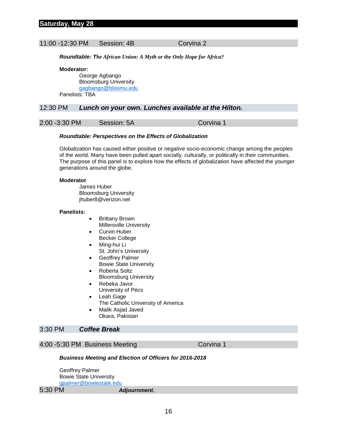#### 11:00 -12:30 PM Session: 4B Corvina 2

*Roundtable: The African Union: A Myth or the Only Hope for Africa?*

**Moderator:**

George Agbango Bloomsburg University [gagbango@bloomu.edu](mailto:gagbango@bloomu.edu) Panelists: TBA

#### 12:30 PM *Lunch on your own. Lunches available at the Hilton.*

2:00 -3:30 PM Session: 5A Corvina 1

#### *Roundtable: Perspectives on the Effects of Globalization*

Globalization has caused either positive or negative socio-economic change among the peoples of the world. Many have been pulled apart socially, culturally, or politically in their communities. The purpose of this panel is to explore how the effects of globalization have affected the younger generations around the globe.

#### **Moderator**

James Huber Bloomsburg University jhuber8@verizon.net

#### **Panelists:**

- Brittany Brown
- Millersville University **Curvin Huber**
- Becker College
- Ming-hui Li St. John's University
- Geoffrey Palmer
- Bowie State University
- Roberta Soltz Bloomsburg University
- Rebeka Javor University of Pécs
- Leah Gage
- The Catholic University of America
- Malik Asjad Javed Okara, Pakistan

# 3:30 PM *Coffee Break*

# 4:00 -5:30 PM Business Meeting Corvina 1

#### *Business Meeting and Election of Officers for 2016-2018*

Geoffrey Palmer Bowie State University [gpalmer@bowiestate.edu](mailto:gpalmer@bowiestate.edu)

5:30 PM *Adjournment.*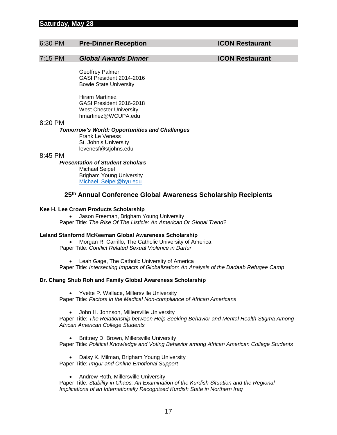# **Saturday, May 28**

# 6:30 PM **Pre-Dinner Reception ICON Restaurant**

# 7:15 PM *Global Awards Dinner* **ICON Restaurant**

Geoffrey Palmer GASI President 2014-2016 Bowie State University

Hiram Martinez GASI President 2016-2018 West Chester University hmartinez@WCUPA.edu

#### 8:20 PM

#### *Tomorrow's World: Opportunities and Challenges*

Frank Le Veness St. John's University levenesf@stjohns.edu

#### 8:45 PM

# *Presentation of Student Scholars*

Michael Seipel Brigham Young University [Michael\\_Seipel@byu.edu](mailto:Michael_Seipel@byu.edu)

# **25th Annual Conference Global Awareness Scholarship Recipients**

#### **Kee H. Lee Crown Products Scholarship**

• Jason Freeman, Brigham Young University Paper Title: *The Rise Of The Listicle: An American Or Global Trend?*

#### **Leland Stanfornd McKeeman Global Awareness Scholarship**

• Morgan R. Carrillo, The Catholic University of America Paper Title: *Conflict Related Sexual Violence in Darfur*

• Leah Gage, The Catholic University of America

Paper Title: *Intersecting Impacts of Globalization: An Analysis of the Dadaab Refugee Camp*

#### **Dr. Chang Shub Roh and Family Global Awareness Scholarship**

• Yvette P. Wallace, Millersville University

Paper Title: *Factors in the Medical Non-compliance of African Americans*

• John H. Johnson, Millersville University

Paper Title: *The Relationship between Help Seeking Behavior and Mental Health Stigma Among African American College Students*

• Brittney D. Brown, Millersville University

Paper Title: *Political Knowledge and Voting Behavior among African American College Students*

• Daisy K. Milman, Brigham Young University

Paper Title: *Imgur and Online Emotional Support*

• Andrew Roth, Millersville University

Paper Title: *Stability in Chaos: An Examination of the Kurdish Situation and the Regional Implications of an Internationally Recognized Kurdish State in Northern Iraq*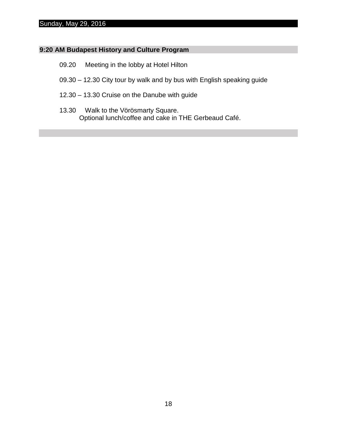# Sunday, May 29, 2016

# **9:20 AM Budapest History and Culture Program**

- 09.20 Meeting in the lobby at Hotel Hilton
- 09.30 12.30 City tour by walk and by bus with English speaking guide
- 12.30 13.30 Cruise on the Danube with guide
- 13.30 Walk to the Vörösmarty Square. Optional lunch/coffee and cake in THE Gerbeaud Café.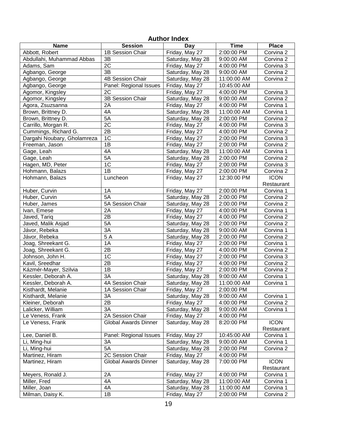| <b>AULIUL IIIUCA</b>        |                             |                  |             |              |
|-----------------------------|-----------------------------|------------------|-------------|--------------|
| <b>Name</b>                 | <b>Session</b>              | Day              | <b>Time</b> | <b>Place</b> |
| Abbott, Robert              | 1B Session Chair            | Friday, May 27   | 2:00:00 PM  | Corvina 2    |
| Abdullahi, Muhammad Abbas   | 3B                          | Saturday, May 28 | 9:00:00 AM  | Corvina 2    |
| Adams, Sam                  | $\overline{2C}$             | Friday, May 27   | 4:00:00 PM  | Corvina 3    |
| Agbango, George             | 3B                          | Saturday, May 28 | 9:00:00 AM  | Corvina 2    |
| Agbango, George             | 4B Session Chair            | Saturday, May 28 | 11:00:00 AM | Corvina 2    |
| Agbango, George             | Panel: Regional Issues      | Friday, May 27   | 10:45:00 AM |              |
| Agomor, Kingsley            | 2C                          | Friday, May 27   | 4:00:00 PM  | Corvina 3    |
| Agomor, Kingsley            | 3B Session Chair            | Saturday, May 28 | 9:00:00 AM  | Corvina 2    |
| Agora, Zsuzsanna            | 2A                          | Friday, May 27   | 4:00:00 PM  | Corvina 1    |
| Brown, Brittney D.          | 4A                          | Saturday, May 28 | 11:00:00 AM | Corvina 1    |
| Brown, Brittney D.          | 5A                          | Saturday, May 28 | 2:00:00 PM  | Corvina 2    |
| Carrillo, Morgan R.         | $\overline{2C}$             | Friday, May 27   | 4:00:00 PM  | Corvina 3    |
| Cummings, Richard G.        | $\overline{2B}$             | Friday, May 27   | 4:00:00 PM  | Corvina 2    |
| Dargahi Noubary, Gholamreza | 1C                          | Friday, May 27   | 2:00:00 PM  | Corvina 3    |
| Freeman, Jason              | 1B                          | Friday, May 27   | 2:00:00 PM  | Corvina 2    |
| Gage, Leah                  | 4A                          | Saturday, May 28 | 11:00:00 AM | Corvina 1    |
| Gage, Leah                  | $5\overline{A}$             | Saturday, May 28 | 2:00:00 PM  | Corvina 2    |
| Hagen, MD, Peter            | 1 <sup>C</sup>              | Friday, May 27   | 2:00:00 PM  | Corvina 3    |
| Hohmann, Balazs             | $\overline{1B}$             | Friday, May 27   | 2:00:00 PM  | Corvina 2    |
| Hohmann, Balazs             | Luncheon                    | Friday, May 27   | 12:30:00 PM | <b>ICON</b>  |
|                             |                             |                  |             | Restaurant   |
| Huber, Curvin               | 1A                          | Friday, May 27   | 2:00:00 PM  | Corvina 1    |
| Huber, Curvin               | 5A                          | Saturday, May 28 | 2:00:00 PM  | Corvina 2    |
| Huber, James                | 5A Session Chair            | Saturday, May 28 | 2:00:00 PM  | Corvina 2    |
| Ivan, Emese                 | 2A                          | Friday, May 27   | 4:00:00 PM  | Corvina 1    |
| Javed, Tariq                | $\overline{2B}$             | Friday, May 27   | 4:00:00 PM  | Corvina 2    |
| Javed, Malik Asjad          | 5A                          | Saturday, May 28 | 2:00:00 PM  | Corvina 2    |
| Jávor, Rebeka               | $\overline{3A}$             | Saturday, May 28 | 9:00:00 AM  | Corvina 1    |
| Jávor, Rebeka               | $\overline{5A}$             | Saturday, May 28 | 2:00:00 PM  | Corvina 2    |
| Joag, Shreekant G.          | 1A                          | Friday, May 27   | 2:00:00 PM  | Corvina 1    |
| Joag, Shreekant G.          | $\overline{2B}$             | Friday, May 27   | 4:00:00 PM  | Corvina 2    |
| Johnson, John H.            | 1C                          | Friday, May 27   | 2:00:00 PM  | Corvina 3    |
| Kavil, Sreedhar             | 2B                          | Friday, May 27   | 4:00:00 PM  | Corvina 2    |
| Kázmér-Mayer, Szilvia       | 1B                          | Friday, May 27   | 2:00:00 PM  | Corvina 2    |
| Kessler, Deborah A.         | 3A                          | Saturday, May 28 | 9:00:00 AM  | Corvina 1    |
| Kessler, Deborah A.         | 4A Session Chair            | Saturday, May 28 | 11:00:00 AM | Corvina 1    |
| Kisthardt, Melanie          | 1A Session Chair            | Friday, May 27   | 2:00:00 PM  |              |
| Kisthardt, Melanie          | 3A                          | Saturday, May 28 | 9:00:00 AM  | Corvina 1    |
| Kleiner, Deborah            | 2B                          | Friday, May 27   | 4:00:00 PM  | Corvina 2    |
| Lalicker, William           | 3A                          | Saturday, May 28 | 9:00:00 AM  | Corvina 1    |
| Le Veness, Frank            | 2A Session Chair            | Friday, May 27   | 4:00:00 PM  |              |
| Le Veness, Frank            | <b>Global Awards Dinner</b> | Saturday, May 28 | 8:20:00 PM  | <b>ICON</b>  |
|                             |                             |                  |             | Restaurant   |
| Lee, Daniel B.              | Panel: Regional Issues      | Friday, May 27   | 10:45:00 AM | Corvina 1    |
| Li, Ming-hui                | 3A                          | Saturday, May 28 | 9:00:00 AM  | Corvina 1    |
| Li, Ming-hui                | 5A                          | Saturday, May 28 | 2:00:00 PM  | Corvina 2    |
| Martinez, Hiram             | 2C Session Chair            | Friday, May 27   | 4:00:00 PM  |              |
| Martinez, Hiram             | <b>Global Awards Dinner</b> | Saturday, May 28 | 7:00:00 PM  | <b>ICON</b>  |
|                             |                             |                  |             | Restaurant   |
| Meyers, Ronald J.           | 2A                          | Friday, May 27   | 4:00:00 PM  | Corvina 1    |
| Miller, Fred                | 4A                          | Saturday, May 28 | 11:00:00 AM | Corvina 1    |
| Miller, Joan                | 4A                          | Saturday, May 28 | 11:00:00 AM | Corvina 1    |
| Milman, Daisy K.            | 1B                          | Friday, May 27   | 2:00:00 PM  | Corvina 2    |

# **Author Index**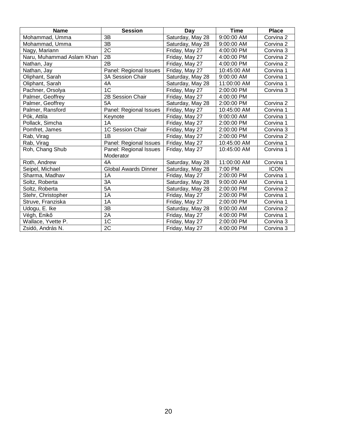| <b>Name</b>               | <b>Session</b>                      | Day              | <b>Time</b> | <b>Place</b> |
|---------------------------|-------------------------------------|------------------|-------------|--------------|
| Mohammad, Umma            | 3B                                  | Saturday, May 28 | 9:00:00 AM  | Corvina 2    |
| Mohammad, Umma            | 3B                                  | Saturday, May 28 | 9:00:00 AM  | Corvina 2    |
| Nagy, Mariann             | 2C                                  | Friday, May 27   | 4:00:00 PM  | Corvina 3    |
| Naru, Muhammad Aslam Khan | 2B                                  | Friday, May 27   | 4:00:00 PM  | Corvina 2    |
| Nathan, Jay               | 2B                                  | Friday, May 27   | 4:00:00 PM  | Corvina 2    |
| Nathan, Jay               | Panel: Regional Issues              | Friday, May 27   | 10:45:00 AM | Corvina 1    |
| Oliphant, Sarah           | 3A Session Chair                    | Saturday, May 28 | 9:00:00 AM  | Corvina 1    |
| Oliphant, Sarah           | 4A                                  | Saturday, May 28 | 11:00:00 AM | Corvina 1    |
| Pachner, Orsolya          | 1 <sup>C</sup>                      | Friday, May 27   | 2:00:00 PM  | Corvina 3    |
| Palmer, Geoffrey          | 2B Session Chair                    | Friday, May 27   | 4:00:00 PM  |              |
| Palmer, Geoffrey          | <b>5A</b>                           | Saturday, May 28 | 2:00:00 PM  | Corvina 2    |
| Palmer, Ransford          | Panel: Regional Issues              | Friday, May 27   | 10:45:00 AM | Corvina 1    |
| Pók, Attila               | Keynote                             | Friday, May 27   | 9:00:00 AM  | Corvina 1    |
| Pollack, Simcha           | 1A                                  | Friday, May 27   | 2:00:00 PM  | Corvina 1    |
| Pomfret, James            | 1C Session Chair                    | Friday, May 27   | 2:00:00 PM  | Corvina 3    |
| Rab, Virag                | 1B                                  | Friday, May 27   | 2:00:00 PM  | Corvina 2    |
| Rab, Virag                | Panel: Regional Issues              | Friday, May 27   | 10:45:00 AM | Corvina 1    |
| Roh, Chang Shub           | Panel: Regional Issues<br>Moderator | Friday, May 27   | 10:45:00 AM | Corvina 1    |
| Roth, Andrew              | 4A                                  | Saturday, May 28 | 11:00:00 AM | Corvina 1    |
| Seipel, Michael           | <b>Global Awards Dinner</b>         | Saturday, May 28 | 7:00 PM     | <b>ICON</b>  |
| Sharma, Madhav            | 1A                                  | Friday, May 27   | 2:00:00 PM  | Corvina 1    |
| Soltz, Roberta            | 3A                                  | Saturday, May 28 | 9:00:00 AM  | Corvina 1    |
| Soltz, Roberta            | 5A                                  | Saturday, May 28 | 2:00:00 PM  | Corvina 2    |
| Stehr, Christopher        | 1A                                  | Friday, May 27   | 2:00:00 PM  | Corvina 1    |
| Struve, Franziska         | 1A                                  | Friday, May 27   | 2:00:00 PM  | Corvina 1    |
| Udogu, E. Ike             | 3B                                  | Saturday, May 28 | 9:00:00 AM  | Corvina 2    |
| Végh, Enikő               | 2A                                  | Friday, May 27   | 4:00:00 PM  | Corvina 1    |
| Wallace, Yvette P.        | 1 <sup>C</sup>                      | Friday, May 27   | 2:00:00 PM  | Corvina 3    |
| Zsidó, András N.          | 2C                                  | Friday, May 27   | 4:00:00 PM  | Corvina 3    |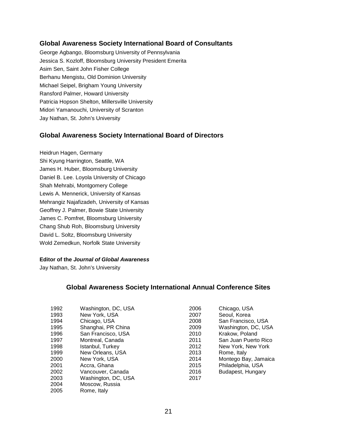# **Global Awareness Society International Board of Consultants**

George Agbango, Bloomsburg University of Pennsylvania Jessica S. Kozloff, Bloomsburg University President Emerita Asim Sen, Saint John Fisher College Berhanu Mengistu, Old Dominion University Michael Seipel, Brigham Young University Ransford Palmer, Howard University Patricia Hopson Shelton, Millersville University Midori Yamanouchi, University of Scranton Jay Nathan, St. John's University

# **Global Awareness Society International Board of Directors**

Heidrun Hagen, Germany Shi Kyung Harrington, Seattle, WA James H. Huber, Bloomsburg University Daniel B. Lee. Loyola University of Chicago Shah Mehrabi, Montgomery College Lewis A. Mennerick, University of Kansas Mehrangiz Najafizadeh, University of Kansas Geoffrey J. Palmer, Bowie State University James C. Pomfret, Bloomsburg University Chang Shub Roh, Bloomsburg University David L. Soltz, Bloomsburg University Wold Zemedkun, Norfolk State University

#### **Editor of the** *Journal of Global Awareness*

Jay Nathan, St. John's University

# **Global Awareness Society International Annual Conference Sites**

| 1992 | Washington, DC, USA | 2006 | Chicago, USA         |
|------|---------------------|------|----------------------|
| 1993 | New York, USA       | 2007 | Seoul, Korea         |
| 1994 | Chicago, USA        | 2008 | San Francisco, USA   |
| 1995 | Shanghai, PR China  | 2009 | Washington, DC, USA  |
| 1996 | San Francisco, USA  | 2010 | Krakow, Poland       |
| 1997 | Montreal, Canada    | 2011 | San Juan Puerto Rico |
| 1998 | Istanbul, Turkey    | 2012 | New York, New York   |
| 1999 | New Orleans, USA    | 2013 | Rome, Italy          |
| 2000 | New York, USA       | 2014 | Montego Bay, Jamaica |
| 2001 | Accra, Ghana        | 2015 | Philadelphia, USA    |
| 2002 | Vancouver, Canada   | 2016 | Budapest, Hungary    |
| 2003 | Washington, DC, USA | 2017 |                      |
| 2004 | Moscow, Russia      |      |                      |
| 2005 | Rome, Italy         |      |                      |